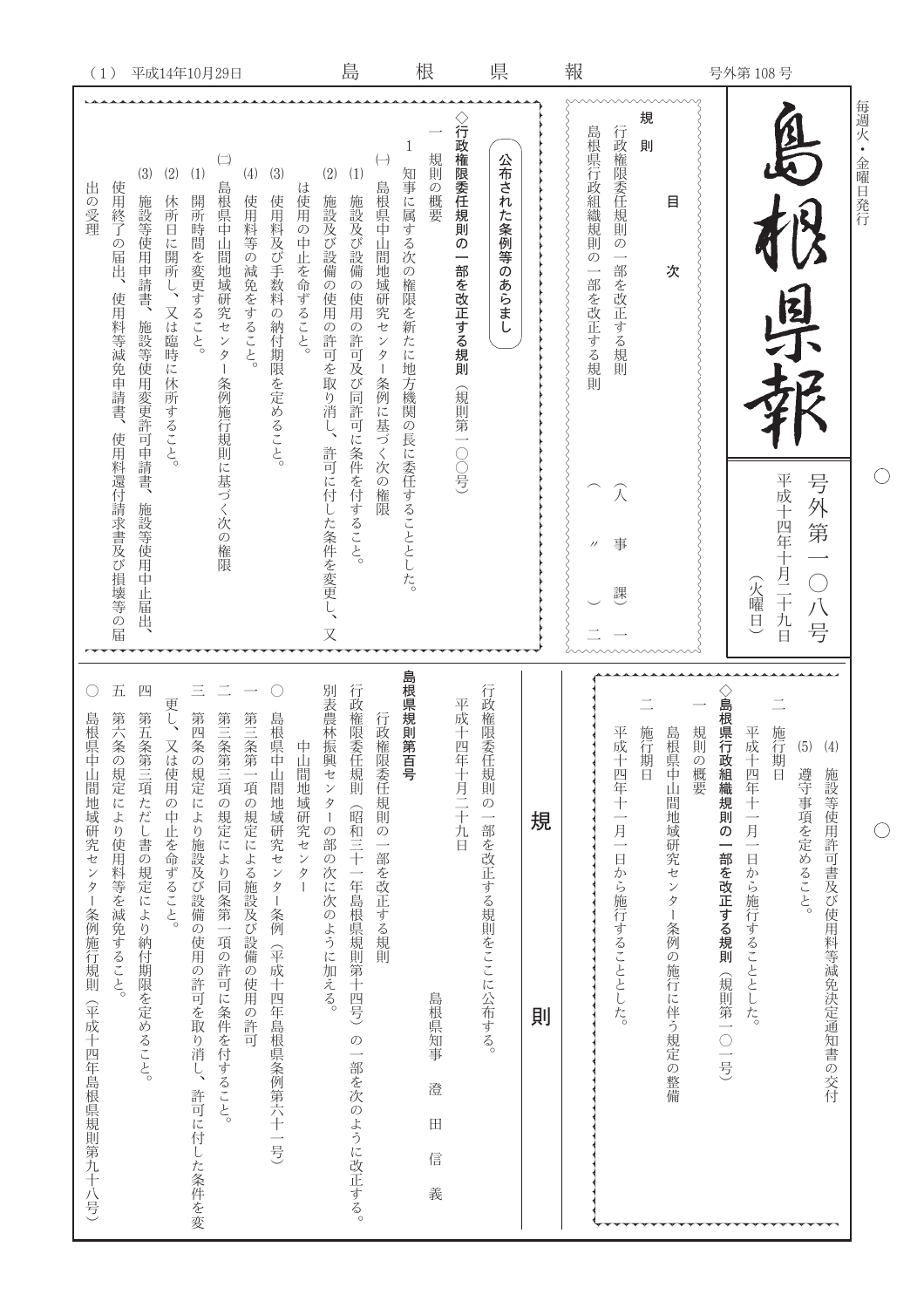| 報<br>号外第108号 | 每週火 • 金曜日発行<br>規<br>島根県行政組織規則の<br>行政権限委任規則の一部を改正する規則<br><b>REA</b><br>則<br>目<br>次<br>一部を改正する規則<br>国丁  |
|--------------|-------------------------------------------------------------------------------------------------------|
|              |                                                                                                       |
|              | A<br>事<br>課                                                                                           |
|              | 公布された条例等のあらまし                                                                                         |
|              | 行政権限委任規則の<br>規則の概要<br>一部を改正する規則<br>(規則第一〇〇号)                                                          |
|              | 1<br>知事に属する次の権限を新たに地方機関の長に委任することとした。                                                                  |
|              | $(\rightarrow)$<br>(1)<br>島根県中山間地域研究センター条例に基づく次の権限<br>施設及び設備の使用の許可及び同許可に条件を付すること。                     |
|              | (2)<br>は使用の中止を命ずること。<br>施設及び設備の使用の許可を取り消し、<br>許可に付した条件を変更し、<br>$\overline{\mathsf{X}}$                |
|              | (3)<br>(4)<br>使用料等の減免をすること。<br>使用料及び手数料の納付期限を定めること。                                                   |
| 平成14年10月29日  | $\left( \begin{matrix} - \end{matrix} \right)$<br>(1)<br>島根県中山間地域研究センター条例施行規則に基づく次の権限<br>開所時間を変更すること。 |
|              | (2)<br>休所日に開所し、<br>又は臨時に休所すること。                                                                       |
|              | (3)<br>施設等使用申請書、<br>施設等使用変更許可申請書、<br>施設等使用中止届出                                                        |
|              | 使用終了の届出、<br>使用料等减免申請書、<br>使用料還付請求書及び損壊等の届                                                             |
| (1)          | 出の受理                                                                                                  |